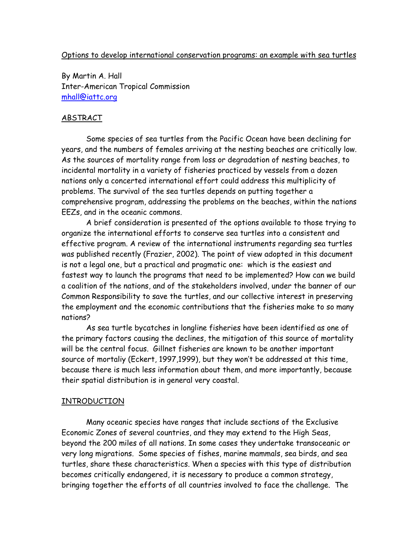# Options to develop international conservation programs: an example with sea turtles

By Martin A. Hall Inter-American Tropical Commission mhall@iattc.org

# ABSTRACT

Some species of sea turtles from the Pacific Ocean have been declining for years, and the numbers of females arriving at the nesting beaches are critically low. As the sources of mortality range from loss or degradation of nesting beaches, to incidental mortality in a variety of fisheries practiced by vessels from a dozen nations only a concerted international effort could address this multiplicity of problems. The survival of the sea turtles depends on putting together a comprehensive program, addressing the problems on the beaches, within the nations EEZs, and in the oceanic commons.

A brief consideration is presented of the options available to those trying to organize the international efforts to conserve sea turtles into a consistent and effective program. A review of the international instruments regarding sea turtles was published recently (Frazier, 2002). The point of view adopted in this document is not a legal one, but a practical and pragmatic one: which is the easiest and fastest way to launch the programs that need to be implemented? How can we build a coalition of the nations, and of the stakeholders involved, under the banner of our Common Responsibility to save the turtles, and our collective interest in preserving the employment and the economic contributions that the fisheries make to so many nations?

As sea turtle bycatches in longline fisheries have been identified as one of the primary factors causing the declines, the mitigation of this source of mortality will be the central focus. Gillnet fisheries are known to be another important source of mortaliy (Eckert, 1997,1999), but they won't be addressed at this time, because there is much less information about them, and more importantly, because their spatial distribution is in general very coastal.

# INTRODUCTION

Many oceanic species have ranges that include sections of the Exclusive Economic Zones of several countries, and they may extend to the High Seas, beyond the 200 miles of all nations. In some cases they undertake transoceanic or very long migrations. Some species of fishes, marine mammals, sea birds, and sea turtles, share these characteristics. When a species with this type of distribution becomes critically endangered, it is necessary to produce a common strategy, bringing together the efforts of all countries involved to face the challenge. The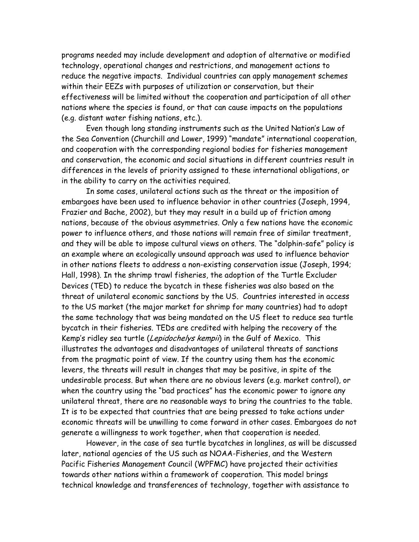programs needed may include development and adoption of alternative or modified technology, operational changes and restrictions, and management actions to reduce the negative impacts. Individual countries can apply management schemes within their EEZs with purposes of utilization or conservation, but their effectiveness will be limited without the cooperation and participation of all other nations where the species is found, or that can cause impacts on the populations (e.g. distant water fishing nations, etc.).

Even though long standing instruments such as the United Nation's Law of the Sea Convention (Churchill and Lower, 1999) "mandate" international cooperation, and cooperation with the corresponding regional bodies for fisheries management and conservation, the economic and social situations in different countries result in differences in the levels of priority assigned to these international obligations, or in the ability to carry on the activities required.

In some cases, unilateral actions such as the threat or the imposition of embargoes have been used to influence behavior in other countries (Joseph, 1994, Frazier and Bache, 2002), but they may result in a build up of friction among nations, because of the obvious asymmetries. Only a few nations have the economic power to influence others, and those nations will remain free of similar treatment, and they will be able to impose cultural views on others. The "dolphin-safe" policy is an example where an ecologically unsound approach was used to influence behavior in other nations fleets to address a non-existing conservation issue (Joseph, 1994; Hall, 1998). In the shrimp trawl fisheries, the adoption of the Turtle Excluder Devices (TED) to reduce the bycatch in these fisheries was also based on the threat of unilateral economic sanctions by the US. Countries interested in access to the US market (the major market for shrimp for many countries) had to adopt the same technology that was being mandated on the US fleet to reduce sea turtle bycatch in their fisheries. TEDs are credited with helping the recovery of the Kemp's ridley sea turtle (Lepidochelys kempii) in the Gulf of Mexico. This illustrates the advantages and disadvantages of unilateral threats of sanctions from the pragmatic point of view. If the country using them has the economic levers, the threats will result in changes that may be positive, in spite of the undesirable process. But when there are no obvious levers (e.g. market control), or when the country using the "bad practices" has the economic power to ignore any unilateral threat, there are no reasonable ways to bring the countries to the table. It is to be expected that countries that are being pressed to take actions under economic threats will be unwilling to come forward in other cases. Embargoes do not generate a willingness to work together, when that cooperation is needed.

However, in the case of sea turtle bycatches in longlines, as will be discussed later, national agencies of the US such as NOAA-Fisheries, and the Western Pacific Fisheries Management Council (WPFMC) have projected their activities towards other nations within a framework of cooperation. This model brings technical knowledge and transferences of technology, together with assistance to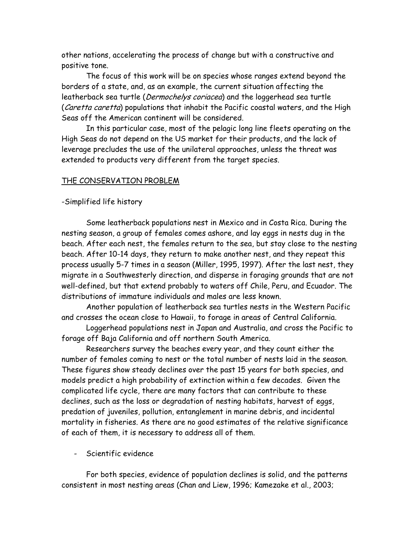other nations, accelerating the process of change but with a constructive and positive tone.

 The focus of this work will be on species whose ranges extend beyond the borders of a state, and, as an example, the current situation affecting the leatherback sea turtle (Dermochelys coriacea) and the loggerhead sea turtle (Caretta caretta) populations that inhabit the Pacific coastal waters, and the High Seas off the American continent will be considered.

In this particular case, most of the pelagic long line fleets operating on the High Seas do not depend on the US market for their products, and the lack of leverage precludes the use of the unilateral approaches, unless the threat was extended to products very different from the target species.

#### THE CONSERVATION PROBLEM

#### -Simplified life history

Some leatherback populations nest in Mexico and in Costa Rica. During the nesting season, a group of females comes ashore, and lay eggs in nests dug in the beach. After each nest, the females return to the sea, but stay close to the nesting beach. After 10-14 days, they return to make another nest, and they repeat this process usually 5-7 times in a season (Miller, 1995, 1997). After the last nest, they migrate in a Southwesterly direction, and disperse in foraging grounds that are not well-defined, but that extend probably to waters off Chile, Peru, and Ecuador. The distributions of immature individuals and males are less known.

Another population of leatherback sea turtles nests in the Western Pacific and crosses the ocean close to Hawaii, to forage in areas of Central California.

Loggerhead populations nest in Japan and Australia, and cross the Pacific to forage off Baja California and off northern South America.

Researchers survey the beaches every year, and they count either the number of females coming to nest or the total number of nests laid in the season. These figures show steady declines over the past 15 years for both species, and models predict a high probability of extinction within a few decades. Given the complicated life cycle, there are many factors that can contribute to these declines, such as the loss or degradation of nesting habitats, harvest of eggs, predation of juveniles, pollution, entanglement in marine debris, and incidental mortality in fisheries. As there are no good estimates of the relative significance of each of them, it is necessary to address all of them.

- Scientific evidence

For both species, evidence of population declines is solid, and the patterns consistent in most nesting areas (Chan and Liew, 1996; Kamezake et al., 2003;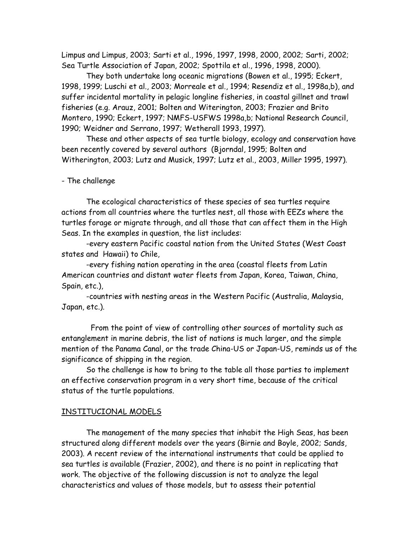Limpus and Limpus, 2003; Sarti et al., 1996, 1997, 1998, 2000, 2002; Sarti, 2002; Sea Turtle Association of Japan, 2002; Spottila et al., 1996, 1998, 2000).

They both undertake long oceanic migrations (Bowen et al., 1995; Eckert, 1998, 1999; Luschi et al., 2003; Morreale et al., 1994; Resendiz et al., 1998a,b), and suffer incidental mortality in pelagic longline fisheries, in coastal gillnet and trawl fisheries (e.g. Arauz, 2001; Bolten and Witerington, 2003; Frazier and Brito Montero, 1990; Eckert, 1997; NMFS-USFWS 1998a,b; National Research Council, 1990; Weidner and Serrano, 1997; Wetherall 1993, 1997).

These and other aspects of sea turtle biology, ecology and conservation have been recently covered by several authors (Bjorndal, 1995; Bolten and Witherington, 2003; Lutz and Musick, 1997; Lutz et al., 2003, Miller 1995, 1997).

## - The challenge

The ecological characteristics of these species of sea turtles require actions from all countries where the turtles nest, all those with EEZs where the turtles forage or migrate through, and all those that can affect them in the High Seas. In the examples in question, the list includes:

-every eastern Pacific coastal nation from the United States (West Coast states and Hawaii) to Chile,

-every fishing nation operating in the area (coastal fleets from Latin American countries and distant water fleets from Japan, Korea, Taiwan, China, Spain, etc.),

-countries with nesting areas in the Western Pacific (Australia, Malaysia, Japan, etc.).

 From the point of view of controlling other sources of mortality such as entanglement in marine debris, the list of nations is much larger, and the simple mention of the Panama Canal, or the trade China-US or Japan-US, reminds us of the significance of shipping in the region.

So the challenge is how to bring to the table all those parties to implement an effective conservation program in a very short time, because of the critical status of the turtle populations.

# INSTITUCIONAL MODELS

The management of the many species that inhabit the High Seas, has been structured along different models over the years (Birnie and Boyle, 2002; Sands, 2003). A recent review of the international instruments that could be applied to sea turtles is available (Frazier, 2002), and there is no point in replicating that work. The objective of the following discussion is not to analyze the legal characteristics and values of those models, but to assess their potential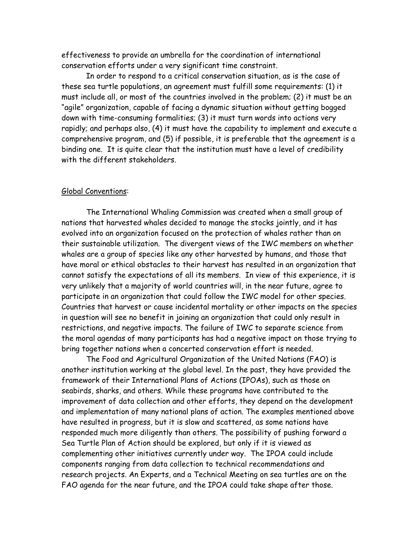effectiveness to provide an umbrella for the coordination of international conservation efforts under a very significant time constraint.

In order to respond to a critical conservation situation, as is the case of these sea turtle populations, an agreement must fulfill some requirements: (1) it must include all, or most of the countries involved in the problem; (2) it must be an "agile" organization, capable of facing a dynamic situation without getting bogged down with time-consuming formalities; (3) it must turn words into actions very rapidly; and perhaps also, (4) it must have the capability to implement and execute a comprehensive program, and (5) if possible, it is preferable that the agreement is a binding one. It is quite clear that the institution must have a level of credibility with the different stakeholders.

### Global Conventions:

 The International Whaling Commission was created when a small group of nations that harvested whales decided to manage the stocks jointly, and it has evolved into an organization focused on the protection of whales rather than on their sustainable utilization. The divergent views of the IWC members on whether whales are a group of species like any other harvested by humans, and those that have moral or ethical obstacles to their harvest has resulted in an organization that cannot satisfy the expectations of all its members. In view of this experience, it is very unlikely that a majority of world countries will, in the near future, agree to participate in an organization that could follow the IWC model for other species. Countries that harvest or cause incidental mortality or other impacts on the species in question will see no benefit in joining an organization that could only result in restrictions, and negative impacts. The failure of IWC to separate science from the moral agendas of many participants has had a negative impact on those trying to bring together nations when a concerted conservation effort is needed.

The Food and Agricultural Organization of the United Nations (FAO) is another institution working at the global level. In the past, they have provided the framework of their International Plans of Actions (IPOAs), such as those on seabirds, sharks, and others. While these programs have contributed to the improvement of data collection and other efforts, they depend on the development and implementation of many national plans of action. The examples mentioned above have resulted in progress, but it is slow and scattered, as some nations have responded much more diligently than others. The possibility of pushing forward a Sea Turtle Plan of Action should be explored, but only if it is viewed as complementing other initiatives currently under way. The IPOA could include components ranging from data collection to technical recommendations and research projects. An Experts, and a Technical Meeting on sea turtles are on the FAO agenda for the near future, and the IPOA could take shape after those.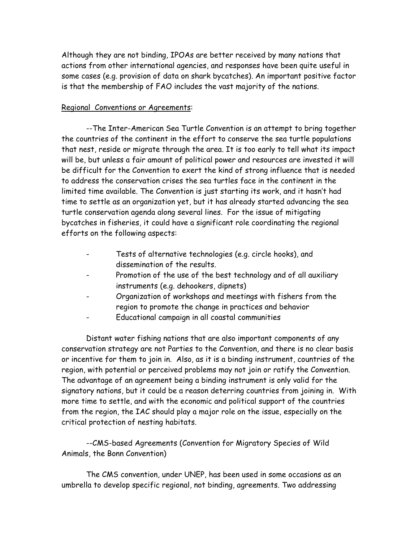Although they are not binding, IPOAs are better received by many nations that actions from other international agencies, and responses have been quite useful in some cases (e.g. provision of data on shark bycatches). An important positive factor is that the membership of FAO includes the vast majority of the nations.

# Regional Conventions or Agreements:

--The Inter-American Sea Turtle Convention is an attempt to bring together the countries of the continent in the effort to conserve the sea turtle populations that nest, reside or migrate through the area. It is too early to tell what its impact will be, but unless a fair amount of political power and resources are invested it will be difficult for the Convention to exert the kind of strong influence that is needed to address the conservation crises the sea turtles face in the continent in the limited time available. The Convention is just starting its work, and it hasn't had time to settle as an organization yet, but it has already started advancing the sea turtle conservation agenda along several lines. For the issue of mitigating bycatches in fisheries, it could have a significant role coordinating the regional efforts on the following aspects:

- Tests of alternative technologies (e.g. circle hooks), and dissemination of the results.
- Promotion of the use of the best technology and of all auxiliary instruments (e.g. dehookers, dipnets)
- Organization of workshops and meetings with fishers from the region to promote the change in practices and behavior
- Educational campaign in all coastal communities

 Distant water fishing nations that are also important components of any conservation strategy are not Parties to the Convention, and there is no clear basis or incentive for them to join in. Also, as it is a binding instrument, countries of the region, with potential or perceived problems may not join or ratify the Convention. The advantage of an agreement being a binding instrument is only valid for the signatory nations, but it could be a reason deterring countries from joining in. With more time to settle, and with the economic and political support of the countries from the region, the IAC should play a major role on the issue, especially on the critical protection of nesting habitats.

--CMS-based Agreements (Convention for Migratory Species of Wild Animals, the Bonn Convention)

The CMS convention, under UNEP, has been used in some occasions as an umbrella to develop specific regional, not binding, agreements. Two addressing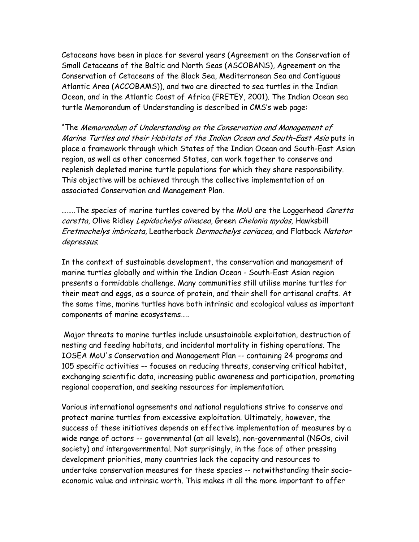Cetaceans have been in place for several years (Agreement on the Conservation of Small Cetaceans of the Baltic and North Seas (ASCOBANS), Agreement on the Conservation of Cetaceans of the Black Sea, Mediterranean Sea and Contiguous Atlantic Area (ACCOBAMS)), and two are directed to sea turtles in the Indian Ocean, and in the Atlantic Coast of Africa (FRETEY, 2001). The Indian Ocean sea turtle Memorandum of Understanding is described in CMS's web page:

"The Memorandum of Understanding on the Conservation and Management of Marine Turtles and their Habitats of the Indian Ocean and South-East Asia puts in place a framework through which States of the Indian Ocean and South-East Asian region, as well as other concerned States, can work together to conserve and replenish depleted marine turtle populations for which they share responsibility. This objective will be achieved through the collective implementation of an associated Conservation and Management Plan.

........The species of marine turtles covered by the MoU are the Loggerhead *Caretta* caretta, Olive Ridley Lepidochelys olivacea, Green Chelonia mydas, Hawksbill Eretmochelys imbricata, Leatherback Dermochelys coriacea, and Flatback Natator depressus.

In the context of sustainable development, the conservation and management of marine turtles globally and within the Indian Ocean - South-East Asian region presents a formidable challenge. Many communities still utilise marine turtles for their meat and eggs, as a source of protein, and their shell for artisanal crafts. At the same time, marine turtles have both intrinsic and ecological values as important components of marine ecosystems…..

 Major threats to marine turtles include unsustainable exploitation, destruction of nesting and feeding habitats, and incidental mortality in fishing operations. The IOSEA MoU's Conservation and Management Plan -- containing 24 programs and 105 specific activities -- focuses on reducing threats, conserving critical habitat, exchanging scientific data, increasing public awareness and participation, promoting regional cooperation, and seeking resources for implementation.

Various international agreements and national regulations strive to conserve and protect marine turtles from excessive exploitation. Ultimately, however, the success of these initiatives depends on effective implementation of measures by a wide range of actors -- governmental (at all levels), non-governmental (NGOs, civil society) and intergovernmental. Not surprisingly, in the face of other pressing development priorities, many countries lack the capacity and resources to undertake conservation measures for these species -- notwithstanding their socioeconomic value and intrinsic worth. This makes it all the more important to offer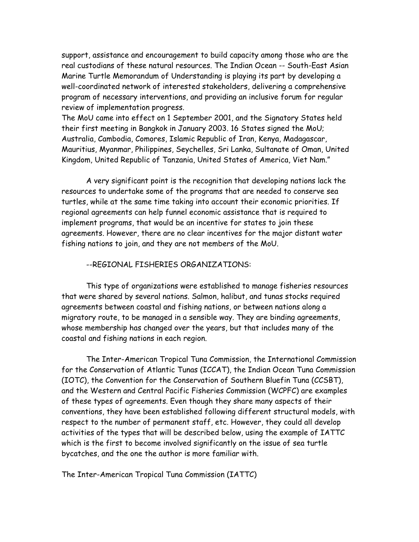support, assistance and encouragement to build capacity among those who are the real custodians of these natural resources. The Indian Ocean -- South-East Asian Marine Turtle Memorandum of Understanding is playing its part by developing a well-coordinated network of interested stakeholders, delivering a comprehensive program of necessary interventions, and providing an inclusive forum for regular review of implementation progress.

The MoU came into effect on 1 September 2001, and the Signatory States held their first meeting in Bangkok in January 2003. 16 States signed the MoU; Australia, Cambodia, Comores, Islamic Republic of Iran, Kenya, Madagascar, Mauritius, Myanmar, Philippines, Seychelles, Sri Lanka, Sultanate of Oman, United Kingdom, United Republic of Tanzania, United States of America, Viet Nam."

A very significant point is the recognition that developing nations lack the resources to undertake some of the programs that are needed to conserve sea turtles, while at the same time taking into account their economic priorities. If regional agreements can help funnel economic assistance that is required to implement programs, that would be an incentive for states to join these agreements. However, there are no clear incentives for the major distant water fishing nations to join, and they are not members of the MoU.

### --REGIONAL FISHERIES ORGANIZATIONS:

This type of organizations were established to manage fisheries resources that were shared by several nations. Salmon, halibut, and tunas stocks required agreements between coastal and fishing nations, or between nations along a migratory route, to be managed in a sensible way. They are binding agreements, whose membership has changed over the years, but that includes many of the coastal and fishing nations in each region.

The Inter-American Tropical Tuna Commission, the International Commission for the Conservation of Atlantic Tunas (ICCAT), the Indian Ocean Tuna Commission (IOTC), the Convention for the Conservation of Southern Bluefin Tuna (CCSBT), and the Western and Central Pacific Fisheries Commission (WCPFC) are examples of these types of agreements. Even though they share many aspects of their conventions, they have been established following different structural models, with respect to the number of permanent staff, etc. However, they could all develop activities of the types that will be described below, using the example of IATTC which is the first to become involved significantly on the issue of sea turtle bycatches, and the one the author is more familiar with.

The Inter-American Tropical Tuna Commission (IATTC)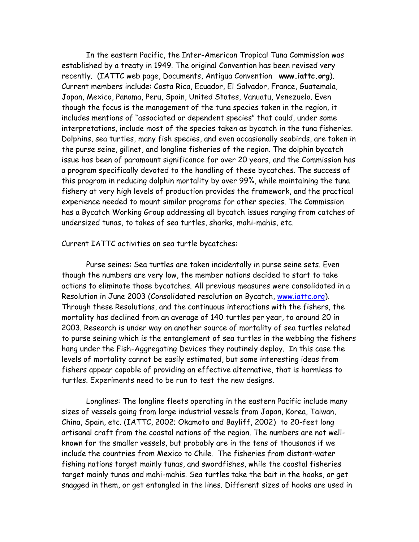In the eastern Pacific, the Inter-American Tropical Tuna Commission was established by a treaty in 1949. The original Convention has been revised very recently. (IATTC web page, Documents, Antigua Convention **www.iattc.org**). Current members include: Costa Rica, Ecuador, El Salvador, France, Guatemala, Japan, Mexico, Panama, Peru, Spain, United States, Vanuatu, Venezuela. Even though the focus is the management of the tuna species taken in the region, it includes mentions of "associated or dependent species" that could, under some interpretations, include most of the species taken as bycatch in the tuna fisheries. Dolphins, sea turtles, many fish species, and even occasionally seabirds, are taken in the purse seine, gillnet, and longline fisheries of the region. The dolphin bycatch issue has been of paramount significance for over 20 years, and the Commission has a program specifically devoted to the handling of these bycatches. The success of this program in reducing dolphin mortality by over 99%, while maintaining the tuna fishery at very high levels of production provides the framework, and the practical experience needed to mount similar programs for other species. The Commission has a Bycatch Working Group addressing all bycatch issues ranging from catches of undersized tunas, to takes of sea turtles, sharks, mahi-mahis, etc.

Current IATTC activities on sea turtle bycatches:

Purse seines: Sea turtles are taken incidentally in purse seine sets. Even though the numbers are very low, the member nations decided to start to take actions to eliminate those bycatches. All previous measures were consolidated in a Resolution in June 2003 (Consolidated resolution on Bycatch, www.iattc.org). Through these Resolutions, and the continuous interactions with the fishers, the mortality has declined from an average of 140 turtles per year, to around 20 in 2003. Research is under way on another source of mortality of sea turtles related to purse seining which is the entanglement of sea turtles in the webbing the fishers hang under the Fish-Aggregating Devices they routinely deploy. In this case the levels of mortality cannot be easily estimated, but some interesting ideas from fishers appear capable of providing an effective alternative, that is harmless to turtles. Experiments need to be run to test the new designs.

Longlines: The longline fleets operating in the eastern Pacific include many sizes of vessels going from large industrial vessels from Japan, Korea, Taiwan, China, Spain, etc. (IATTC, 2002; Okamoto and Bayliff, 2002) to 20-feet long artisanal craft from the coastal nations of the region. The numbers are not wellknown for the smaller vessels, but probably are in the tens of thousands if we include the countries from Mexico to Chile. The fisheries from distant-water fishing nations target mainly tunas, and swordfishes, while the coastal fisheries target mainly tunas and mahi-mahis. Sea turtles take the bait in the hooks, or get snagged in them, or get entangled in the lines. Different sizes of hooks are used in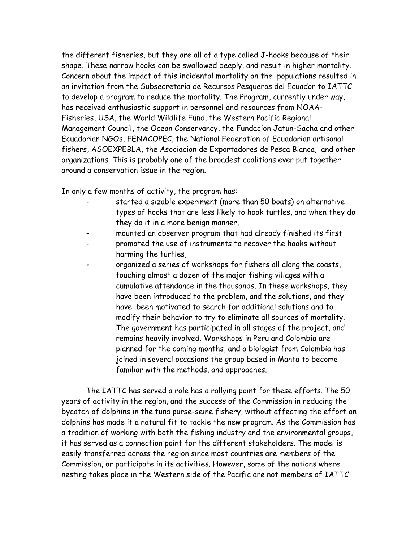the different fisheries, but they are all of a type called J-hooks because of their shape. These narrow hooks can be swallowed deeply, and result in higher mortality. Concern about the impact of this incidental mortality on the populations resulted in an invitation from the Subsecretaria de Recursos Pesqueros del Ecuador to IATTC to develop a program to reduce the mortality. The Program, currently under way, has received enthusiastic support in personnel and resources from NOAA-Fisheries, USA, the World Wildlife Fund, the Western Pacific Regional Management Council, the Ocean Conservancy, the Fundacion Jatun-Sacha and other Ecuadorian NGOs, FENACOPEC, the National Federation of Ecuadorian artisanal fishers, ASOEXPEBLA, the Asociacion de Exportadores de Pesca Blanca, and other organizations. This is probably one of the broadest coalitions ever put together around a conservation issue in the region.

In only a few months of activity, the program has:

- started a sizable experiment (more than 50 boats) on alternative types of hooks that are less likely to hook turtles, and when they do they do it in a more benign manner,
- mounted an observer program that had already finished its first
- promoted the use of instruments to recover the hooks without harming the turtles,
- organized a series of workshops for fishers all along the coasts, touching almost a dozen of the major fishing villages with a cumulative attendance in the thousands. In these workshops, they have been introduced to the problem, and the solutions, and they have been motivated to search for additional solutions and to modify their behavior to try to eliminate all sources of mortality. The government has participated in all stages of the project, and remains heavily involved. Workshops in Peru and Colombia are planned for the coming months, and a biologist from Colombia has joined in several occasions the group based in Manta to become familiar with the methods, and approaches.

The IATTC has served a role has a rallying point for these efforts. The 50 years of activity in the region, and the success of the Commission in reducing the bycatch of dolphins in the tuna purse-seine fishery, without affecting the effort on dolphins has made it a natural fit to tackle the new program. As the Commission has a tradition of working with both the fishing industry and the environmental groups, it has served as a connection point for the different stakeholders. The model is easily transferred across the region since most countries are members of the Commission, or participate in its activities. However, some of the nations where nesting takes place in the Western side of the Pacific are not members of IATTC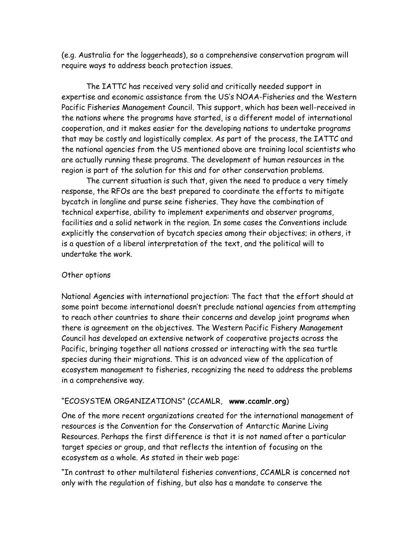(e.g. Australia for the loggerheads), so a comprehensive conservation program will require ways to address beach protection issues.

The IATTC has received very solid and critically needed support in expertise and economic assistance from the US's NOAA-Fisheries and the Western Pacific Fisheries Management Council. This support, which has been well-received in the nations where the programs have started, is a different model of international cooperation, and it makes easier for the developing nations to undertake programs that may be costly and logistically complex. As part of the process, the IATTC and the national agencies from the US mentioned above are training local scientists who are actually running these programs. The development of human resources in the region is part of the solution for this and for other conservation problems.

The current situation is such that, given the need to produce a very timely response, the RFOs are the best prepared to coordinate the efforts to mitigate bycatch in longline and purse seine fisheries. They have the combination of technical expertise, ability to implement experiments and observer programs, facilities and a solid network in the region. In some cases the Conventions include explicitly the conservation of bycatch species among their objectives; in others, it is a question of a liberal interpretation of the text, and the political will to undertake the work.

# Other options

National Agencies with international projection: The fact that the effort should at some point become international doesn't preclude national agencies from attempting to reach other countries to share their concerns and develop joint programs when there is agreement on the objectives. The Western Pacific Fishery Management Council has developed an extensive network of cooperative projects across the Pacific, bringing together all nations crossed or interacting with the sea turtle species during their migrations. This is an advanced view of the application of ecosystem management to fisheries, recognizing the need to address the problems in a comprehensive way.

# "ECOSYSTEM ORGANIZATIONS" (CCAMLR, **www.ccamlr.org**)

One of the more recent organizations created for the international management of resources is the Convention for the Conservation of Antarctic Marine Living Resources. Perhaps the first difference is that it is not named after a particular target species or group, and that reflects the intention of focusing on the ecosystem as a whole. As stated in their web page:

"In contrast to other multilateral fisheries conventions, CCAMLR is concerned not only with the regulation of fishing, but also has a mandate to conserve the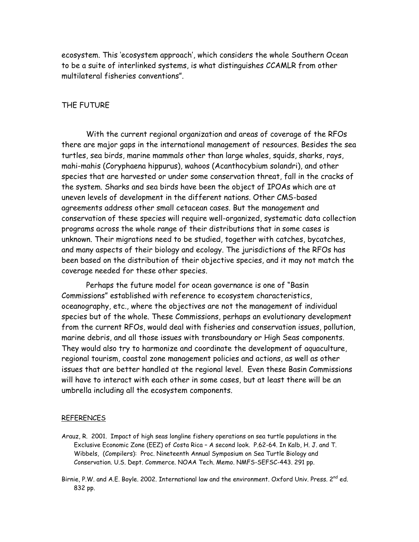ecosystem. This 'ecosystem approach', which considers the whole Southern Ocean to be a suite of interlinked systems, is what distinguishes CCAMLR from other multilateral fisheries conventions".

### THE FUTURE

 With the current regional organization and areas of coverage of the RFOs there are major gaps in the international management of resources. Besides the sea turtles, sea birds, marine mammals other than large whales, squids, sharks, rays, mahi-mahis (Coryphaena hippurus), wahoos (Acanthocybium solandri), and other species that are harvested or under some conservation threat, fall in the cracks of the system. Sharks and sea birds have been the object of IPOAs which are at uneven levels of development in the different nations. Other CMS-based agreements address other small cetacean cases. But the management and conservation of these species will require well-organized, systematic data collection programs across the whole range of their distributions that in some cases is unknown. Their migrations need to be studied, together with catches, bycatches, and many aspects of their biology and ecology. The jurisdictions of the RFOs has been based on the distribution of their objective species, and it may not match the coverage needed for these other species.

 Perhaps the future model for ocean governance is one of "Basin Commissions" established with reference to ecosystem characteristics, oceanography, etc., where the objectives are not the management of individual species but of the whole. These Commissions, perhaps an evolutionary development from the current RFOs, would deal with fisheries and conservation issues, pollution, marine debris, and all those issues with transboundary or High Seas components. They would also try to harmonize and coordinate the development of aquaculture, regional tourism, coastal zone management policies and actions, as well as other issues that are better handled at the regional level. Even these Basin Commissions will have to interact with each other in some cases, but at least there will be an umbrella including all the ecosystem components.

#### REFERENCES

- Arauz, R. 2001. Impact of high seas longline fishery operations on sea turtle populations in the Exclusive Economic Zone (EEZ) of Costa Rica – A second look. P.62-64. In Kalb, H. J. and T. Wibbels, (Compilers): Proc. Nineteenth Annual Symposium on Sea Turtle Biology and Conservation. U.S. Dept. Commerce. NOAA Tech. Memo. NMFS-SEFSC-443. 291 pp.
- Birnie, P.W. and A.E. Boyle. 2002. International law and the environment. Oxford Univ. Press. 2<sup>nd</sup> ed. 832 pp.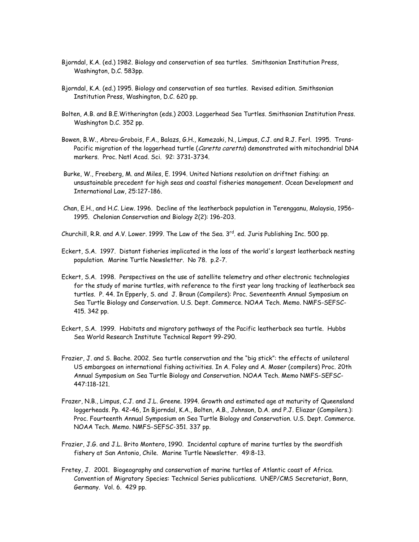- Bjorndal, K.A. (ed.) 1982. Biology and conservation of sea turtles. Smithsonian Institution Press, Washington, D.C. 583pp.
- Bjorndal, K.A. (ed.) 1995. Biology and conservation of sea turtles. Revised edition. Smithsonian Institution Press, Washington, D.C. 620 pp.
- Bolten, A.B. and B.E.Witherington (eds.) 2003. Loggerhead Sea Turtles. Smithsonian Institution Press. Washington D.C. 352 pp.
- Bowen, B.W., Abreu-Grobois, F.A., Balazs, G.H., Kamezaki, N., Limpus, C.J. and R.J. Ferl. 1995. Trans-Pacific migration of the loggerhead turtle (Caretta caretta) demonstrated with mitochondrial DNA markers. Proc. Natl Acad. Sci. 92: 3731-3734.
- Burke, W., Freeberg, M. and Miles, E. 1994. United Nations resolution on driftnet fishing: an unsustainable precedent for high seas and coastal fisheries management. Ocean Development and International Law, 25:127-186.
- Chan, E.H., and H.C. Liew. 1996. Decline of the leatherback population in Terengganu, Malaysia, 1956- 1995. Chelonian Conservation and Biology 2(2): 196-203.
- Churchill, R.R. and A.V. Lower. 1999. The Law of the Sea. 3<sup>rd</sup>. ed. Juris Publishing Inc. 500 pp.
- Eckert, S.A. 1997. Distant fisheries implicated in the loss of the world's largest leatherback nesting population. Marine Turtle Newsletter. No 78. p.2-7.
- Eckert, S.A. 1998. Perspectives on the use of satellite telemetry and other electronic technologies for the study of marine turtles, with reference to the first year long tracking of leatherback sea turtles. P. 44. In Epperly, S. and J. Braun (Compilers): Proc. Seventeenth Annual Symposium on Sea Turtle Biology and Conservation. U.S. Dept. Commerce. NOAA Tech. Memo. NMFS-SEFSC-415. 342 pp.
- Eckert, S.A. 1999. Habitats and migratory pathways of the Pacific leatherback sea turtle. Hubbs Sea World Research Institute Technical Report 99-290.
- Frazier, J. and S. Bache. 2002. Sea turtle conservation and the "big stick": the effects of unilateral US embargoes on international fishing activities. In A. Foley and A. Moser (compilers) Proc. 20th Annual Symposium on Sea Turtle Biology and Conservation. NOAA Tech. Memo NMFS-SEFSC-447:118-121.
- Frazer, N.B., Limpus, C.J. and J.L. Greene. 1994. Growth and estimated age at maturity of Queensland loggerheads. Pp. 42-46, In Bjorndal, K.A., Bolten, A.B., Johnson, D.A. and P.J. Eliazar (Compilers.): Proc. Fourteenth Annual Symposium on Sea Turtle Biology and Conservation. U.S. Dept. Commerce. NOAA Tech. Memo. NMFS-SEFSC-351. 337 pp.
- Frazier, J.G. and J.L. Brito Montero, 1990. Incidental capture of marine turtles by the swordfish fishery at San Antonio, Chile. Marine Turtle Newsletter. 49:8-13.
- Fretey, J. 2001. Biogeography and conservation of marine turtles of Atlantic coast of Africa. Convention of Migratory Species: Technical Series publications. UNEP/CMS Secretariat, Bonn, Germany. Vol. 6. 429 pp.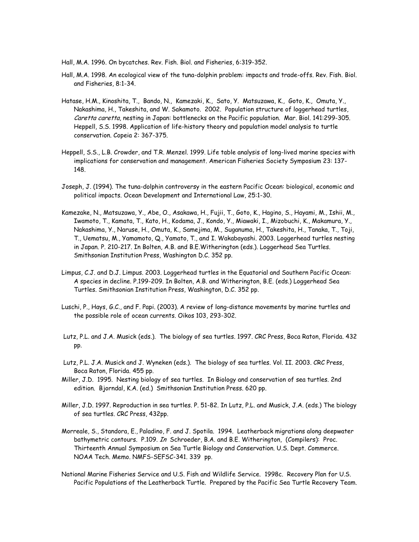Hall, M.A. 1996. On bycatches. Rev. Fish. Biol. and Fisheries, 6:319-352.

- Hall, M.A. 1998. An ecological view of the tuna-dolphin problem: impacts and trade-offs. Rev. Fish. Biol. and Fisheries, 8:1-34.
- Hatase, H.M., Kinoshita, T., Bando, N., Kamezaki, K., Sato, Y. Matsuzawa, K., Goto, K., Omuta, Y., Nakashima, H., Takeshita, and W. Sakamoto. 2002. Population structure of loggerhead turtles, Caretta caretta, nesting in Japan: bottlenecks on the Pacific population. Mar. Biol. 141:299-305. Heppell, S.S. 1998. Application of life-history theory and population model analysis to turtle conservation. Copeia 2: 367-375.
- Heppell, S.S., L.B. Crowder, and T.R. Menzel. 1999. Life table analysis of long-lived marine species with implications for conservation and management. American Fisheries Society Symposium 23: 137- 148.
- Joseph, J. (1994). The tuna-dolphin controversy in the eastern Pacific Ocean: biological, economic and political impacts. Ocean Development and International Law, 25:1-30.
- Kamezake, N., Matsuzawa, Y., Abe, O., Asakawa, H., Fujii, T., Goto, K., Hagino, S., Hayami, M., Ishii, M., Iwamoto, T., Kamata, T., Kato, H., Kodama, J., Kondo, Y., Miawaki, I., Mizobuchi, K., Makamura, Y., Nakashima, Y., Naruse, H., Omuta, K., Samejima, M., Suganuma, H., Takeshita, H., Tanaka, T., Toji, T., Uematsu, M., Yamamoto, Q., Yamato, T., and I. Wakabayashi. 2003. Loggerhead turtles nesting in Japan. P. 210-217. In Bolten, A.B. and B.E.Witherington (eds.). Loggerhead Sea Turtles. Smithsonian Institution Press, Washington D.C. 352 pp.
- Limpus, C.J. and D.J. Limpus. 2003. Loggerhead turtles in the Equatorial and Southern Pacific Ocean: A species in decline. P.199-209. In Bolten, A.B. and Witherington, B.E. (eds.) Loggerhead Sea Turtles. Smithsonian Institution Press, Washington, D.C. 352 pp.
- Luschi, P., Hays, G.C., and F. Papi. (2003). A review of long-distance movements by marine turtles and the possible role of ocean currents. Oikos 103, 293-302.
- Lutz, P.L. and J.A. Musick (eds.). The biology of sea turtles. 1997. CRC Press, Boca Raton, Florida. 432 pp.
- Lutz, P.L. J.A. Musick and J. Wyneken (eds.). The biology of sea turtles. Vol. II. 2003. CRC Press, Boca Raton, Florida. 455 pp.
- Miller, J.D. 1995. Nesting biology of sea turtles. In Biology and conservation of sea turtles. 2nd edition. Bjorndal, K.A. (ed.) Smithsonian Institution Press. 620 pp.
- Miller, J.D. 1997. Reproduction in sea turtles. P. 51-82. In Lutz, P.L. and Musick, J.A. (eds.) The biology of sea turtles. CRC Press, 432pp.
- Morreale, S., Standora, E., Paladino, F. and J. Spotila. 1994. Leatherback migrations along deepwater bathymetric contours. P.109. In Schroeder, B.A. and B.E. Witherington, (Compilers): Proc. Thirteenth Annual Symposium on Sea Turtle Biology and Conservation. U.S. Dept. Commerce. NOAA Tech. Memo. NMFS-SEFSC-341. 339 pp.
- National Marine Fisheries Service and U.S. Fish and Wildlife Service. 1998c. Recovery Plan for U.S. Pacific Populations of the Leatherback Turtle. Prepared by the Pacific Sea Turtle Recovery Team.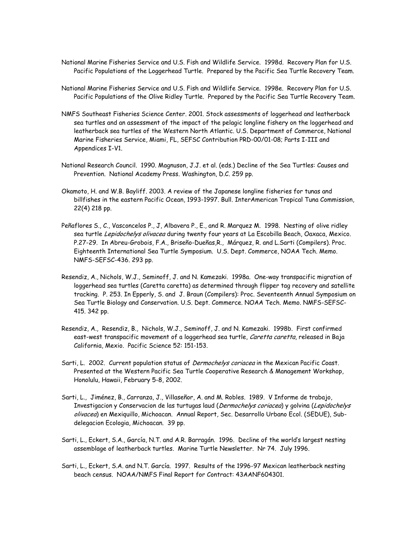- National Marine Fisheries Service and U.S. Fish and Wildlife Service. 1998d. Recovery Plan for U.S. Pacific Populations of the Loggerhead Turtle. Prepared by the Pacific Sea Turtle Recovery Team.
- National Marine Fisheries Service and U.S. Fish and Wildlife Service. 1998e. Recovery Plan for U.S. Pacific Populations of the Olive Ridley Turtle. Prepared by the Pacific Sea Turtle Recovery Team.
- NMFS Southeast Fisheries Science Center. 2001. Stock assessments of loggerhead and leatherback sea turtles and an assessment of the impact of the pelagic longline fishery on the loggerhead and leatherback sea turtles of the Western North Atlantic. U.S. Department of Commerce, National Marine Fisheries Service, Miami, FL, SEFSC Contribution PRD-00/01-08; Parts I-III and Appendices I-V1.
- National Research Council. 1990. Magnuson, J.J. et al. (eds.) Decline of the Sea Turtles: Causes and Prevention. National Academy Press. Washington, D.C. 259 pp.
- Okamoto, H. and W.B. Bayliff. 2003. A review of the Japanese longline fisheries for tunas and billfishes in the eastern Pacific Ocean, 1993-1997. Bull. InterAmerican Tropical Tuna Commission, 22(4) 218 pp.
- Peñaflores S., C., Vasconcelos P., J, Albavera P., E., and R. Marquez M. 1998. Nesting of olive ridley sea turtle Lepidochelys olivacea during twenty four years at La Escobilla Beach, Oaxaca, Mexico. P.27-29. In Abreu-Grobois, F.A., Briseño-Dueñas,R., Márquez, R. and L.Sarti (Compilers). Proc. Eighteenth International Sea Turtle Symposium. U.S. Dept. Commerce, NOAA Tech. Memo. NMFS-SEFSC-436. 293 pp.
- Resendiz, A., Nichols, W.J., Seminoff, J. and N. Kamezaki. 1998a. One-way transpacific migration of loggerhead sea turtles (Caretta caretta) as determined through flipper tag recovery and satellite tracking. P. 253. In Epperly, S. and J. Braun (Compilers): Proc. Seventeenth Annual Symposium on Sea Turtle Biology and Conservation. U.S. Dept. Commerce. NOAA Tech. Memo. NMFS-SEFSC-415. 342 pp.
- Resendiz, A., Resendiz, B., Nichols, W.J., Seminoff, J. and N. Kamezaki. 1998b. First confirmed east-west transpacific movement of a loggerhead sea turtle, Caretta caretta, released in Baja California, Mexio. Pacific Science 52: 151-153.
- Sarti, L. 2002. Current population status of *Dermochelys coriacea* in the Mexican Pacific Coast. Presented at the Western Pacific Sea Turtle Cooperative Research & Management Workshop, Honolulu, Hawaii, February 5-8, 2002.
- Sarti, L., Jiménez, B., Carranza, J., Villaseñor, A. and M. Robles. 1989. V Informe de trabajo, Investigacion y Conservacion de las turtugas laud (Dermochelys coriacea) y golvina (Lepidochelys olivacea) en Mexiquillo, Michoacan. Annual Report, Sec. Desarrollo Urbano Ecol. (SEDUE), Subdelegacion Ecologia, Michoacan. 39 pp.
- Sarti, L., Eckert, S.A., García, N.T. and A.R. Barragán. 1996. Decline of the world's largest nesting assemblage of leatherback turtles. Marine Turtle Newsletter. Nr 74. July 1996.
- Sarti, L., Eckert, S.A. and N.T. García. 1997. Results of the 1996-97 Mexican leatherback nesting beach census. NOAA/NMFS Final Report for Contract: 43AANF604301.